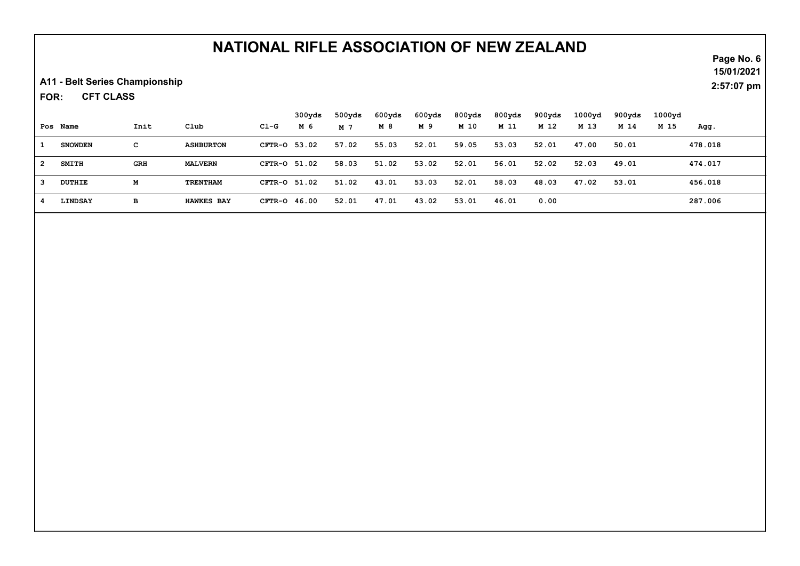## NATIONAL RIFLE ASSOCIATION OF NEW ZEALAND

A11 - Belt Series Championship

CFT CLASS FOR:

|                |                |            |                   |              | 300yds | 500yds | 600yds | 600yds | 800yds | 800yds | 900yds | $1000$ vd | 900yds | 1000vd |         |
|----------------|----------------|------------|-------------------|--------------|--------|--------|--------|--------|--------|--------|--------|-----------|--------|--------|---------|
|                | Pos Name       | Init       | Club              | Cl-G         | M 6    | M 7    | M 8    | M 9    | M 10   | M 11   | M 12   | M 13      | M 14   | M 15   | Agg.    |
|                | <b>SNOWDEN</b> | с          | <b>ASHBURTON</b>  | CFTR-0 53.02 |        | 57.02  | 55.03  | 52.01  | 59.05  | 53.03  | 52.01  | 47.00     | 50.01  |        | 478.018 |
| $\overline{2}$ | <b>SMITH</b>   | <b>GRH</b> | <b>MALVERN</b>    | CFTR-0 51.02 |        | 58.03  | 51.02  | 53.02  | 52.01  | 56.01  | 52.02  | 52.03     | 49.01  |        | 474.017 |
| -3             | DUTHIE         | М          | TRENTHAM          | CFTR-0 51.02 |        | 51.02  | 43.01  | 53.03  | 52.01  | 58.03  | 48.03  | 47.02     | 53.01  |        | 456.018 |
|                | LINDSAY        | в          | <b>HAWKES BAY</b> | CFTR-0 46.00 |        | 52.01  | 47.01  | 43.02  | 53.01  | 46.01  | 0.00   |           |        |        | 287.006 |

Page No. 6 15/01/2021

2:57:07 pm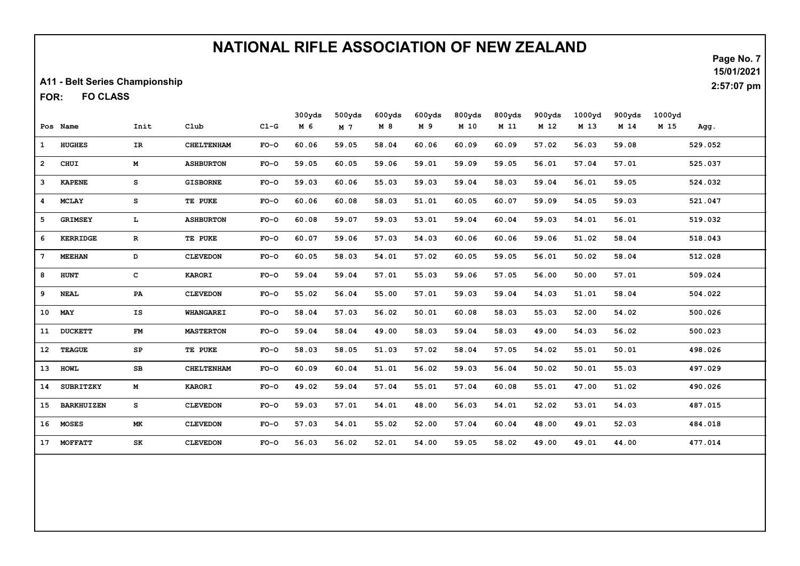## NATIONAL RIFLE ASSOCIATION OF NEW ZEALAND

A11 - Belt Series Championship

FO CLASS FOR:

|                         | Pos Name          | Init         | Club              | $C1-G$ | 300yds<br>M 6 | 500yds<br>M 7 | 600yds<br>M 8 | 600yds<br>M 9 | 800yds<br>M 10 | 800yds<br>M 11 | 900yds<br>M 12 | 1000yd<br>M 13 | 900yds<br>M 14 | 1000 <sub>yd</sub><br>M 15 | Agg.    |
|-------------------------|-------------------|--------------|-------------------|--------|---------------|---------------|---------------|---------------|----------------|----------------|----------------|----------------|----------------|----------------------------|---------|
| 1                       | <b>HUGHES</b>     | IR.          | <b>CHELTENHAM</b> | $FO-O$ | 60.06         | 59.05         | 58.04         | 60.06         | 60.09          | 60.09          | 57.02          | 56.03          | 59.08          |                            | 529.052 |
| $\overline{2}$          | CHUI              | M            | <b>ASHBURTON</b>  | $FO-O$ | 59.05         | 60.05         | 59.06         | 59.01         | 59.09          | 59.05          | 56.01          | 57.04          | 57.01          |                            | 525.037 |
| $\overline{\mathbf{3}}$ | <b>KAPENE</b>     | s            | <b>GISBORNE</b>   | $FO-O$ | 59.03         | 60.06         | 55.03         | 59.03         | 59.04          | 58.03          | 59.04          | 56.01          | 59.05          |                            | 524.032 |
| $\overline{4}$          | <b>MCLAY</b>      | s            | TE PUKE           | $FO-O$ | 60.06         | 60.08         | 58.03         | 51.01         | 60.05          | 60.07          | 59.09          | 54.05          | 59.03          |                            | 521.047 |
| 5                       | <b>GRIMSEY</b>    | L            | <b>ASHBURTON</b>  | $FO-O$ | 60.08         | 59.07         | 59.03         | 53.01         | 59.04          | 60.04          | 59.03          | 54.01          | 56.01          |                            | 519.032 |
| 6                       | <b>KERRIDGE</b>   | $\mathbf{R}$ | TE PUKE           | $FO-O$ | 60.07         | 59.06         | 57.03         | 54.03         | 60.06          | 60.06          | 59.06          | 51.02          | 58.04          |                            | 518.043 |
| $7\phantom{.0}$         | <b>MEEHAN</b>     | D            | <b>CLEVEDON</b>   | $FO-O$ | 60.05         | 58.03         | 54.01         | 57.02         | 60.05          | 59.05          | 56.01          | 50.02          | 58.04          |                            | 512.028 |
| 8                       | <b>HUNT</b>       | c            | <b>KARORI</b>     | $FO-O$ | 59.04         | 59.04         | 57.01         | 55.03         | 59.06          | 57.05          | 56.00          | 50.00          | 57.01          |                            | 509.024 |
| 9                       | <b>NEAL</b>       | PA           | <b>CLEVEDON</b>   | $FO-O$ | 55.02         | 56.04         | 55.00         | 57.01         | 59.03          | 59.04          | 54.03          | 51.01          | 58.04          |                            | 504.022 |
| 10                      | <b>MAY</b>        | IS           | <b>WHANGAREI</b>  | $FO-O$ | 58.04         | 57.03         | 56.02         | 50.01         | 60.08          | 58.03          | 55.03          | 52.00          | 54.02          |                            | 500.026 |
| 11                      | <b>DUCKETT</b>    | <b>FM</b>    | <b>MASTERTON</b>  | $FO-O$ | 59.04         | 58.04         | 49.00         | 58.03         | 59.04          | 58.03          | 49.00          | 54.03          | 56.02          |                            | 500.023 |
| 12                      | <b>TEAGUE</b>     | SP           | TE PUKE           | $FO-O$ | 58.03         | 58.05         | 51.03         | 57.02         | 58.04          | 57.05          | 54.02          | 55.01          | 50.01          |                            | 498.026 |
| 13                      | <b>HOWL</b>       | SB           | <b>CHELTENHAM</b> | $FO-O$ | 60.09         | 60.04         | 51.01         | 56.02         | 59.03          | 56.04          | 50.02          | 50.01          | 55.03          |                            | 497.029 |
| 14                      | <b>SUBRITZKY</b>  | M            | <b>KARORI</b>     | $FO-O$ | 49.02         | 59.04         | 57.04         | 55.01         | 57.04          | 60.08          | 55.01          | 47.00          | 51.02          |                            | 490.026 |
| 15                      | <b>BARKHUIZEN</b> | s            | <b>CLEVEDON</b>   | $FO-O$ | 59.03         | 57.01         | 54.01         | 48.00         | 56.03          | 54.01          | 52.02          | 53.01          | 54.03          |                            | 487.015 |
| 16                      | <b>MOSES</b>      | <b>MK</b>    | <b>CLEVEDON</b>   | $FO-O$ | 57.03         | 54.01         | 55.02         | 52.00         | 57.04          | 60.04          | 48.00          | 49.01          | 52.03          |                            | 484.018 |
| 17                      | <b>MOFFATT</b>    | SK           | <b>CLEVEDON</b>   | $FO-O$ | 56.03         | 56.02         | 52.01         | 54.00         | 59.05          | 58.02          | 49.00          | 49.01          | 44.00          |                            | 477.014 |

Page No. 7 15/01/2021

2:57:07 pm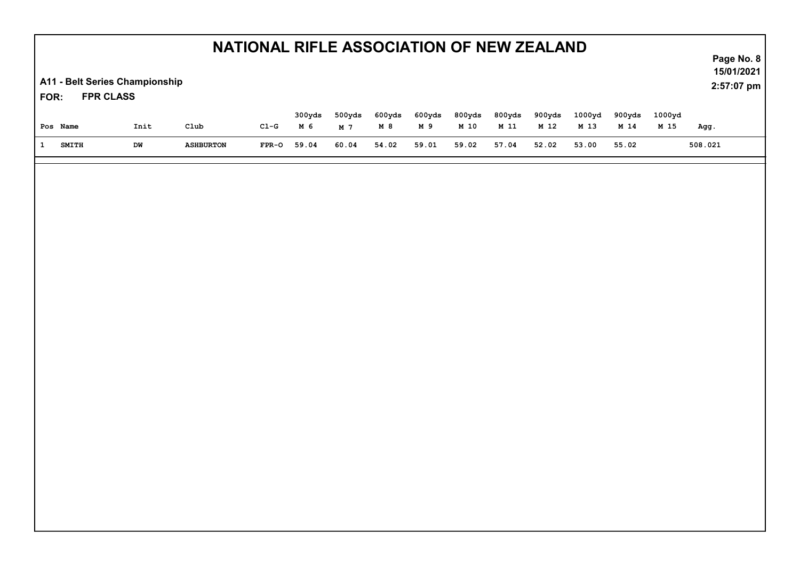| NATIONAL RIFLE ASSOCIATION OF NEW ZEALAND<br>A11 - Belt Series Championship<br><b>FPR CLASS</b><br>FOR: |              |            |                          |                 |              |              |              |              |               |               |               |               |               | Page No. 8<br>15/01/2021<br>2:57:07 pm |                 |
|---------------------------------------------------------------------------------------------------------|--------------|------------|--------------------------|-----------------|--------------|--------------|--------------|--------------|---------------|---------------|---------------|---------------|---------------|----------------------------------------|-----------------|
|                                                                                                         |              |            |                          |                 | 300yds       | 500yds       | 600yds       | 600yds       | 800yds        | 800yds        | 900yds        | 1000yd        | 900yds        | 1000yd                                 |                 |
| Pos Name<br>$\mathbf{1}$                                                                                | <b>SMITH</b> | Init<br>DW | C1ub<br><b>ASHBURTON</b> | $C1-G$<br>FPR-0 | M 6<br>59.04 | M 7<br>60.04 | M 8<br>54.02 | M 9<br>59.01 | M 10<br>59.02 | M 11<br>57.04 | M 12<br>52.02 | M 13<br>53.00 | M 14<br>55.02 | M 15                                   | Agg.<br>508.021 |
|                                                                                                         |              |            |                          |                 |              |              |              |              |               |               |               |               |               |                                        |                 |
|                                                                                                         |              |            |                          |                 |              |              |              |              |               |               |               |               |               |                                        |                 |
|                                                                                                         |              |            |                          |                 |              |              |              |              |               |               |               |               |               |                                        |                 |
|                                                                                                         |              |            |                          |                 |              |              |              |              |               |               |               |               |               |                                        |                 |
|                                                                                                         |              |            |                          |                 |              |              |              |              |               |               |               |               |               |                                        |                 |
|                                                                                                         |              |            |                          |                 |              |              |              |              |               |               |               |               |               |                                        |                 |